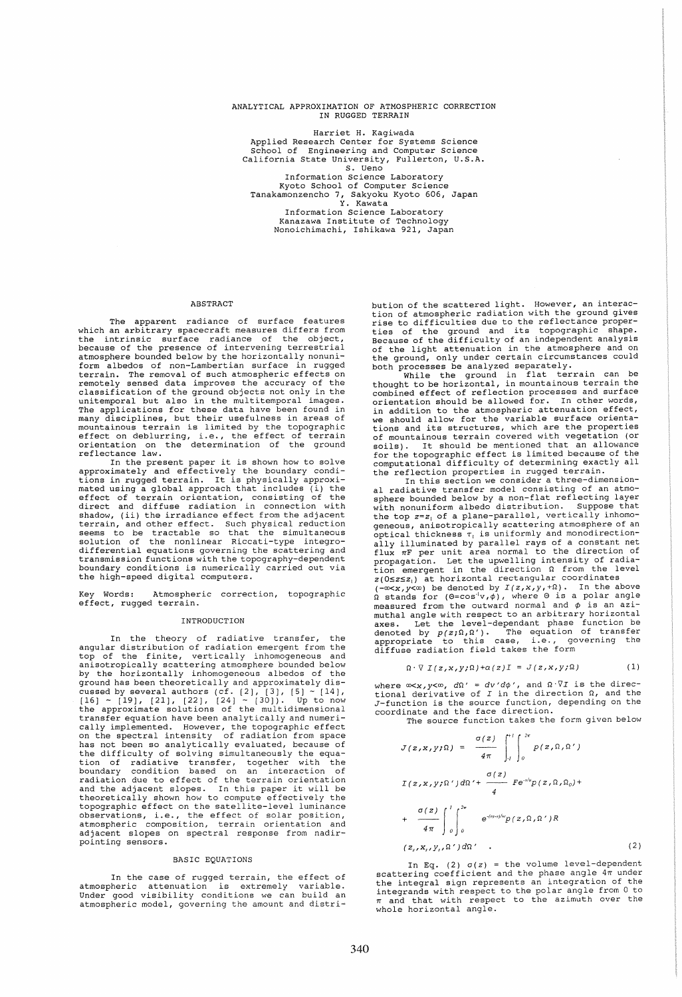# ANALYTICAL APPROXIMATION OF ATMOSPHERIC CORRECTION IN RUGGED TERRAIN

Harriet H. Kagiwada Applied Research Center for Systems Science School of Engineering and Computer Science California State University, Fullerton, U.S.A. S. Ueno Information Science Laboratory Kyoto School of Computer Science Tanakamonzencho 7, Sakyoku Kyoto 606, Japan Y. Kawata Information Science Laboratory Kanazawa Institute of Technology Nonoichimachi, Ishikawa 921, Japan

### **ABSTRACT**

The apparent radiance of surface features which an arbitrary spacecraft measures differs from the intrinsic surface radiance of the object, because of the presence of intervening terrestrial atmosphere bounded below by the horizontally nonuni-form albedos of non-Lambertian surface in rugged terrain. The removal of such atmospheric effects on remotely sensed data improves the accuracy of the classification of the ground objects not only in the unitemporal but also in the multitemporal images. The applications for these data have been found in many disciplines, but their usefulness in areas of mountainous terrain is limited by the topographic<br>mountainous terrain is limited by the topographic<br>orientation on the determination of the ground<br>reflectance law.

In the present paper it is shown how to solve approximately and effectively the boundary condi-tions in rugged terrain. It is physically approxi-mated using a global approach that includes (i) the effect of terrain orientation, consisting of the direct and diffuse radiation in connection with shadow, (ii) the irradiance effect from the adjacent terrain, and other effect. Such physical reduction seems to be tractable so that the simultaneous solution of the nonlinear Riccati-type integrodifferential equations governing the scattering and transmission functions with the topography-dependent boundary conditions is numerically carried out via the high-speed digital computers.

Key Words: Atmospheric correction, topographic effect, rugged terrain.

# INTRODUCTION

In the theory of radiative transfer, the angular distribution of radiation emergent from the top of the finite, vertically inhomogeneous and anisotropically scattering atmosphere bounded below by the horizontally inhomogeneous albedos of the ground has been theoretically and approximately discussed by several authors (cf.  $[2]$ ,  $[3]$ ,  $[5]$   $\sim$   $[14]$ ,  $[16]$   $\sim$   $[19]$ ,  $[21]$ ,  $[22]$ ,  $[24]$   $\sim$   $[30]$ ). Up to now the approximate solutions of the multidimensional transfer equation have been analytically and numerically implemented. However, the topographic effect on the spectral intensity of radiation from space has not been so analytically evaluated, because of the difficulty of solving simultaneously the equa-<br>tion of radiative transfer, together with the<br>boundary condition based on an interaction of<br>radiation due to effect of the terrain orientation<br>and the adjacent slopes. In topographic effect on the satellite-level luminance observations, i.e., the effect of solar position, atmospheric composition, terrain orientation and adjacent slopes on spectral response from nadirpointing sensors.

# BASIC EQUATIONS

In the case of rugged terrain, the effect of atmospheric attenuation is extremely variable. Under good visibility conditions we can build an atmospheric model, governing the amount and distribution of the scattered light. However, an interaction of atmospheric radiation with the ground gives rise to difficulties due to the reflectance properties of the ground and its topographic shape. Because of the difficulty of an independent analysis of the light attenuation in the atmosphere and on the ground, only under certain circumstances could

both processes be analyzed separately. While the ground in flat terrain can be thought to be horizontal, in mountainous terrain the combined effect of reflection processes and surface orientation should be allowed for. In other words, in addition to the atmospheric attenuation effect, we should allow for the variable surface orienta-tions and its structures, which are the properties of mountainous terrain covered with vegetation (or soils). It should be mentioned that an allowance for the topographic effect is limited because of the computational difficulty of determining exactly all

the reflection properties in rugged terrain. In this section we consider a three-dimensionradiative transfer model consisting of an atmosphere bounded below by a non-flat reflecting layer with nonuniform albedo distribution. Suppose that the top *z=z,* of a plane-parallel, vertically inhomogeneous, anisotropically scattering atmosphere of an optical thickness *T,* is uniformly and monodirectionexperience in the parallel rays of a constant net<br>flux  $\pi$ F per unit area normal to the direction of<br>propagation. Let the upwelling intensity of radia-<br>tion emergent in the direction  $\Omega$  from the level<br> $z(0\le z\le z_1)$  at x(-oxx,y<o) as denoted by *I(z,x,y,+Q)*. In the above  $(0.027, 0.006)$  at a polar angle  $\Omega$  stands for  $(0.028, 0.006)$ , where 0 is a polar angle measured from the outward normal and ¢ is an azi-muthal angle with respect to an arbitrary horizontal maxes. Let the level-dependant phase function be denoted by  $p(z;\Omega,\Omega')$ . The equation of transfer appropriate to this case, i.e., governing the diffuse radiation field takes the form

$$
\Omega \cdot \nabla \ I(z, x, y; \Omega) + \alpha(z)I = J(z, x, y; \Omega) \tag{1}
$$

where ∞<*x,y*<∞, *d*Q' = *dv'dφ'*, and Ω<sup>,</sup>VI is the direc-<br>tional derivative of I in the direction Ω, and the J-function is the source function, depending on the coordinate and the face direction.

The source function takes the form given below

$$
J(z, x, y; \Omega) = \frac{\sigma(z)}{4\pi} \int_{-l}^{l} \int_{0}^{2\pi} p(z, \Omega, \Omega')
$$
  

$$
I(z, x, y; \Omega') d\Omega' + \frac{\sigma(z)}{4} F e^{-\gamma t} p(z, \Omega, \Omega_0) +
$$
  

$$
+ \frac{\sigma(z)}{4\pi} \int_{0}^{l} \int_{0}^{2\pi} e^{-(\pi z)/w} p(z, \Omega, \Omega') R
$$
  

$$
(z_s, x_s, y_s, \Omega') d\Omega' .
$$
 (2)

In Eq. (2)  $\sigma(z)$  = the volume level-dependent scattering coefficient and the phase angle  $4\pi$  under state integral sign represents an integration of the integrals sign represents an integration of the integrands with respect to the polar angle from 0 to  $\pi$  and that with respect to the azimuth over the whole horizontal angle.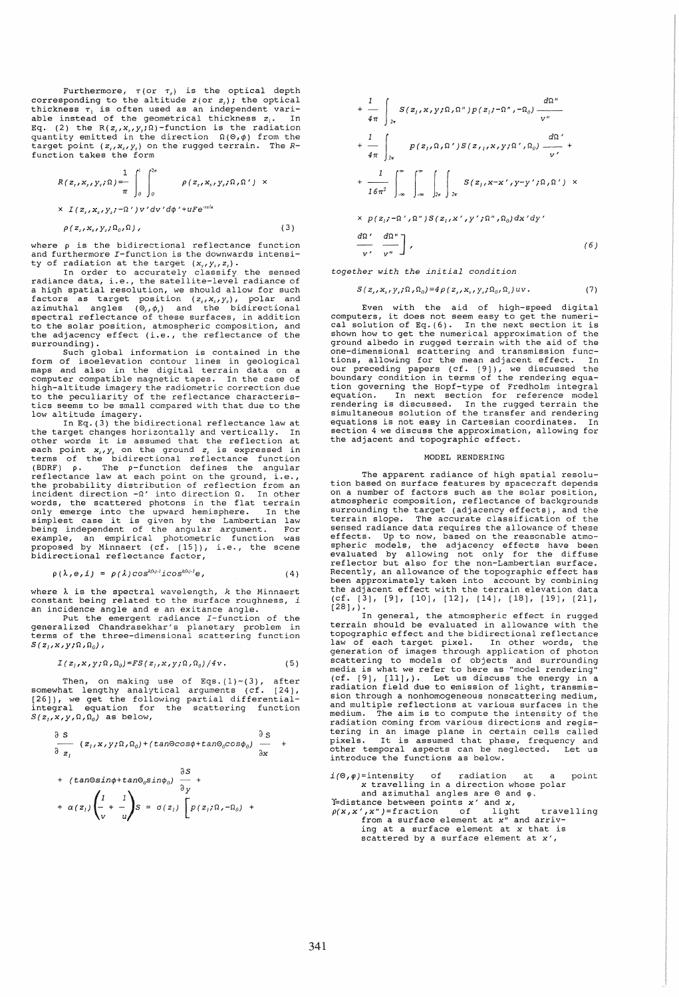Furthermore,  $\tau$  (or  $\tau$ <sub>s</sub>) is the optical depth corresponding to the altitude  $z$  (or  $z$ <sub>s</sub>); the optical thickness  $\tau_1$  is often used as an independent vari-<br>able instead of the geometrical thickness  $z_1$ . In Eq. (2) the  $R(z_s, x_s, y_s; \Omega)$ -function is the radiation quantity emitted in the direction  $\Omega(\Theta, \phi)$  from the target point  $(z_s, x_s, y_s)$  on the rugged terrain. The *R*-function takes the form

$$
R(z_s, x_s, y_s; \Omega) = \int_0^1 \int_0^{2\pi} \rho(z_s, x_s, y_s; \Omega, \Omega') \times
$$
  
 
$$
\times I(z_s, x_s, y_s; -\Omega') \nu' dv' d\phi' + uF e^{-r\delta/u}
$$

(3 )

 $\rho(z_s, x_s, y_s; \Omega_0, \Omega)$ ,

where p is the bidirectional reflectance function and furthermore I-function is the downwards intensi-

ty of radiation at the target  $(x_i, y_i, z_i)$ .<br>In order to accurately classify the sensed<br>radiance data, i.e., the satellite-level radiance of<br>a high spatial resolution, we should allow for such<br>factors as target position  $(z_i$ to the solar position, atmospheric composition, and the adjacency effect (i.e., the reflectance of the

surrounding).<br>
Such global information is contained in the<br>
form of isoelevation contour lines in geological<br>
maps and also in the digital terrain data on a<br>
computer compatible magnetic tapes. In the case of high-altitude imagery the radiometric correction due to the peculiarity of the reflectance characteristics seems to be small compared with that due to the low altitude imagery. In Eq. (3) the bidirectional reflectance law at the target changes horizontally and vertically. In

the target changes norizontally and vertically. In<br>other words it is assumed that the reflection at each point  $x_i$ , on the ground  $z_i$  is expressed in terms of the bidirectional reflectance function (BDRF)  $\rho$ . The  $\rho$ -function defines the angular reflectance law at each point on the ground, i.e., the probability distribution of reflection from an incident direction  $-\Omega'$  into direction  $\Omega$ . In other words, the scattered photons in the flat terrain only emerge into the upward hemisphere. In the simplest case it is example, an empirical photometric function was<br>proposed by Minnaert (cf. [15]), i.e., the scene<br>bidirectional reflectance factor,

$$
\rho(\lambda, e, i) = \rho(\lambda) \cos^{k(\lambda) - 1} i \cos^{k(\lambda) - 1} e,
$$
\n(4)

where  $\lambda$  is the spectral wavelength,  $k$  the Minnaert constant being related to the surface roughness, i an incidence angle and e an exitance angle.<br>Put the emergent radiance I-function of the

generalized Chandrasekhar's planetary problem in terms of the three-dimensional scattering function  $S(z_1, x, y; \Omega, \Omega_0)$ ,

$$
I(z_1, x, y; \Omega, \Omega_0) = FS(z_1, x, y; \Omega, \Omega_0) / 4v.
$$
 (5)

Then, on making use of Eqs.(1)~(3), after<br>somewhat lengthy analytical arguments (cf. [24],<br>[26]), we get the following partial differential-<br>integral equation for the scattering function  $S(z_1,x,y,\Omega,\Omega_0)$  as below,

$$
\frac{\partial S}{\partial z_1} (z_1, x, y; \Omega, \Omega_0) + (tan \Theta cos \phi + tan \Theta_0 cos \phi_0) \frac{\partial S}{\partial x} +
$$

+ 
$$
(\text{tan}\Theta \sin \phi + \text{tan}\Theta_0 \sin \phi_0) \frac{\partial S}{\partial y} +
$$
  
+  $\alpha(z_1) \left( \frac{1}{v} + \frac{1}{w} \right) S = \sigma(z_1) \left[ p(z_1; \Omega, -\Omega_0) + \frac{1}{w} \right]$ 

$$
+\frac{1}{4\pi}\int_{2\pi}S(z_{1},x,y;\Omega,\Omega'')p(z_{1};-\Omega'',-\Omega_{0})\frac{d\Omega''}{v''}
$$
  
+
$$
\frac{1}{4\pi}\int_{2\pi}p(z_{1},\Omega,\Omega')S(z_{11},x,y;\Omega',\Omega_{0})\frac{d\Omega'}{v'} +
$$
  
+
$$
\frac{1}{16\pi^{2}}\int_{-\infty}^{\infty}\int_{2\pi}^{\infty}\int_{2\pi}^{\infty}\int_{2\pi}S(z_{1},x-x',y-y';\Omega,\Omega')\times
$$

 $\times p(z_i; -\Omega', \Omega'') S(z_i, x', y'; \Omega'', \Omega_0) dx'dy'$ 

$$
\frac{d\Omega'}{v'} \frac{d\Omega''}{v''}\bigg\},
$$
\n(6)

(7)

together with the initial condition

 $S\left(\,z_{_s}, x_{_s}, y_{_s}; \Omega\,, \Omega_0\right) = 4\,\rho\left(\,z_{_s}, x_{_s}, y_{_s}; \Omega_0\,, \Omega_s\right) u v\,.$ 

Even with the aid of high-speed digital<br>computers, it does not seem easy to get the numeri-<br>cal solution of Eq. (6). In the next section it is shown how to get the numerical approximation of the ground albedo in rugged terrain with the aid of the<br>one-dimensional scattering and transmission func-<br>tions, allowing for the mean adjacent effect. In<br>our preceding papers (cf. [9]), we discussed the<br>boundary condition in simultaneous solution of the transfer and rendering equations is not easy in Cartesian coordinates. In section 4 we discuss the approximation, allowing for the adjacent and topographic effect.

## MODEL RENDERING

The apparent radiance of high spatial resolu-tion based on surface features by spacecraft depends on a number of factors such as the solar position, atmospheric composition, reflectance of backgrounds surrounding the target (adjacency effects), and the terrain slope. The accurate classification of the sensed radiance data requires the allowance of these effects. Up to now, based on the reasonable atmo-<br>spheric models, the adjacency effects have been<br>evaluated by allowing not only for the diffuse<br>reflector but also for the non-Lambertian surface.<br>Recently, an allowance of been approximately taken into account by combining the adjacent effect with the terrain elevation data (cf. (3), (9), [10), (12), (14), (18), (19), (21),  $(28)$ ,  $)$ .

In general, the atmospheric effect in rugged terrain should be evaluated in allowance with the topographic effect and the bidirectional reflectance law of each target pixel. In other words, the generation of images through application of photon scattering to models of objects and surrounding media is what we refer to here as "model rendering" (cf. (9), (11),). Let us discuss the energy in a radiation field due to emission of light, transmission through a nonhomogeneous nonscattering medium, and multiple reflections at various surfaces in the medium. The aim is to compute the intensity of the radiation coming from various directions and registering in an image plane in certain cells called pixels. It is assumed that phase, frequency and other temporal aspects can be neglected. Let us introduce the functions as below.

 $i(0, \varphi)$ =intensity of radiation at a point<br> x travelling in a direction whose polar<br>and azimuthal angles are 0 and  $\varphi$ .

If-distance between points  $x'$  and  $\overline{y}$ .<br>  $\rho(x, x', x'') =$  fraction of light travelling<br>
from a surface element at x" and arriv-<br>
ing at a surface element at x that is scattered by a surface element at *x',*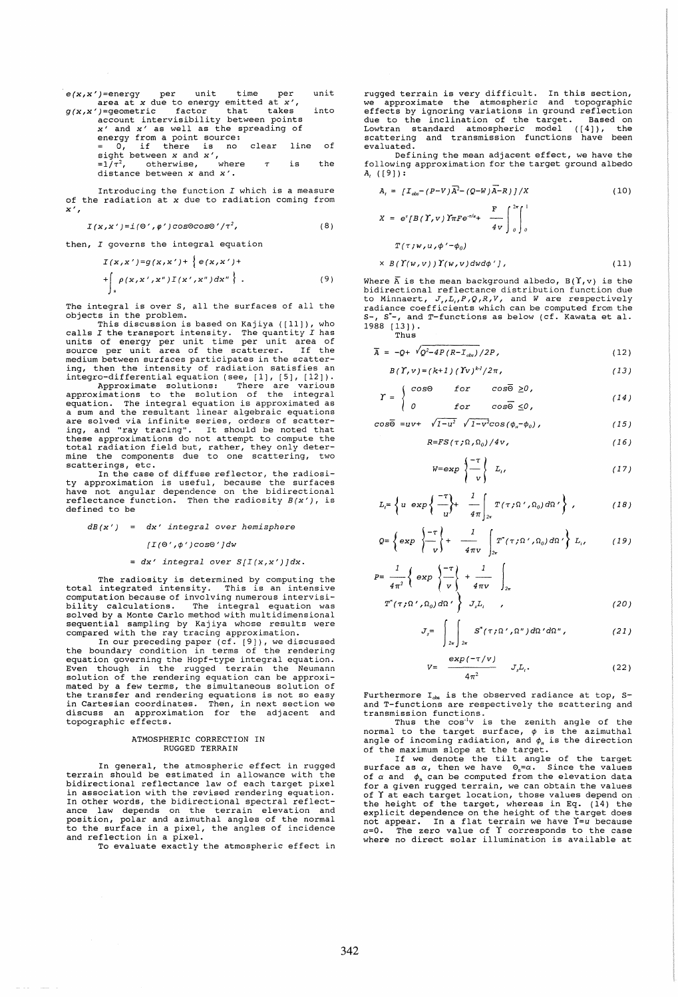$$
e(x, x')
$$
 = energy per unit time per unit area at x due to energy emitted at x',  $g(x, x')$  = geometric factor that takes into account intensityibility between points x' and x' as well as the spreading of energy from a point source:  $= 0$ , if there is no clear line of sight between x and x',  $=1/\tau^2$ , otherwise, where  $\tau$  is the distance between x and x'.

Introducing the function  $I$  which is a measure of the radiation at x due to radiation coming from  $x'$ ,

$$
I(x,x') = i(\Theta',\varphi')\cos\Theta\cos\Theta'/\tau^2,
$$
 (8)

then, I governs the integral equation

$$
I(x,x')=g(x,x')+ \{e(x,x')++\int_{s} \rho(x,x',x'')I(x',x'')dx''\}.
$$
 (9)

The integral is over S, all the surfaces of all the objects in the problem.

This discussion is based on Kajiya ([11)), who calls I the transport intensity. The quantity I has units of energy per unit time per unit area of source per unit area of the scatterer. I f the

because for animal end of the interest of the scatter-<br>ing, then the intensity of radiation satisfies an<br>integro-differential equation (see, [1], [5], [12]).<br>Approximate solutions: There are various<br>approximations to the s

scatterings, etc.<br>
In the case of diffuse reflector, the radiosi-<br>
ty approximation is useful, because the surfaces<br>
have not angular dependence on the bidirectional reflectance function. Then the radiosity  $B(x')$ , is defined to be

 $dB(x') = dx'$  integral over hemisphere

 $/I(0', \phi') \cos\theta'$  *Jdw* 

# =  $dx'$  integral over  $S/I(x,x')$  ] dx.

The radiosity is determined by computing the total integrated intensity. This is an intensive computation because of involving numerous intervisi-Computed Consider the integral equation was<br>bility calculations. The integral equation was<br>solved by a Monte Carlo method with multidimensional<br>sequential sampling by Kajiya whose results were<br>tompared with the ray tracing

Even though in the rugged terrain the Neumann solution of the rendering equation can be approxi-mated by a few terms, the simultaneous solution of the transfer and rendering equations is not so easy in Cartesian coordinates. Then, in next section we discuss an approximation for the adjacent and topographic effects.

#### ATMOSPHERIC CORRECTION IN RUGGED TERRAIN

In general, the atmospheric effect in rugged<br>terrain should be estimated in allowance with the<br>bidirectional reflectance law of each target pixel<br>in association with the revised rendering equation.<br>In other words, the bidi ance law depends on the terrain elevation and position, polar and azimuthal angles of the normal to the surface in a pixel, the angles of incidence and reflection in a pixel.

To evaluate exactly the atmospheric effect in

rugged terrain is very difficult. In this section, we approximate the atmospheric and topographic effects by ignoring variations in ground reflection due to the inclination of the target. Based on<br>Lowtran standard atmospheric model ([4]), the<br>scattering and transmission functions have been scattering and transmission functions evaluated.

Defining the mean adjacent effect, we have the following approximation for the target ground albedo A( ([9)):

$$
A_{t} = \left[I_{obs} - (P-V)\overline{A}^{2} - (Q-W)\overline{A} - R\right]/X
$$
\n
$$
X = e^{r}[B(\Upsilon, v)]\overline{T}\overline{R}e^{-r/a_{r}} + \frac{F}{4v}\int_{0}^{2\pi}\int_{0}^{1}
$$
\n
$$
T(\tau; w, u, \phi' - \phi_{0})
$$
\n
$$
\times B(\Upsilon(w, v))\Upsilon(w, v)dwd\phi'J,
$$
\n(11)

Where  $\overline{A}$  is the mean background albedo. B( $\Upsilon$ , v) is the bidirectional reflectance distribution function due<br>to Minnaert,  $J_s, L_i, P, Q, R, V$ , and W are respectively<br>radiance coefficients which can be computed from the S-, s\*-, and T-functions as below (cf. Kawata et al. 1988 (13)). Thus

$$
\overline{A} = -Q + \sqrt{Q^2 - 4P(R - T_{obs})} / 2P, \qquad (12)
$$

$$
B(\Upsilon, v) = (k+1) (\Upsilon v)^{k} / 2\pi, \qquad (13)
$$

$$
\Upsilon = \begin{cases}\n\cos\Theta & \text{for } \cos\overline{\Theta} \ge 0, \\
0 & \text{for } \cos\overline{\Theta} \le 0,\n\end{cases}
$$
\n(14)

$$
\cos \overline{\Theta} = uv + \sqrt{1 - u^2} \sqrt{1 - v^2} \cos (\phi_n - \phi_0), \qquad (15)
$$

$$
R = FS(\tau; \Omega, \Omega_0) / 4v, \qquad (16)
$$

$$
W = \exp\left\{\frac{-\tau}{v}\right\} L_{i}, \qquad (17)
$$

$$
L_t = \left\{ u \exp\left\{ \frac{-\tau}{u} \right\} + \frac{1}{4\pi} \int_{2\pi} T(\tau, \Omega', \Omega_0) d\Omega' \right\}, \qquad (18)
$$

$$
Q = \left\{ \exp \left\{ \frac{-\tau}{v} \right\} + \frac{1}{4\pi v} \int_{2\pi} T^*(\tau) \Omega', \Omega_0 \right\} L_i, \qquad (19)
$$

$$
P = \frac{1}{4\pi^2} \left\{ \exp \left\{ \frac{-\tau}{v} \right\} + \frac{1}{4\pi v} \right\}_{2\pi}
$$

$$
T''(7.2) \left\{ 0, 100 \right\} + T
$$

$$
T^*(\tau; \Omega', \Omega_0) \, d\Omega' \bigg\} \quad J, L, \quad \text{(20)}
$$

$$
J_s = \int_{2\pi} \int_{2\pi} S^*(\tau, \Omega', \Omega'') d\Omega' d\Omega'', \qquad (21)
$$

$$
= \frac{\exp(-\tau/v)}{4\pi^2} \qquad J_{s}L_{t}, \qquad (22)
$$

Furthermore  $I_{obs}$  is the observed radiance at top, Sand T-functions are respectively the scattering and transmission functions.

 $V$ 

Thus the Cos<sup>1</sup>V is the zenith angle of the normal to the target surface,  $\phi$  is the azimuthal angle of incoming radiation, and  $\phi_n$  is the direction of the maximum slope at the target.

or the maximum slope at the target.<br>If we denote the tilt angle of the target<br>surface as *α*, then we have 0<sub>n</sub>=α. Since the values of  $\alpha$  and  $\phi_n$  can be computed from the elevation data for a given rugged terrain, we can obtain the values of Y at each target location, those values depend on the height of the target, whereas in Eq. (14) the explicit dependence on the height of the target does not appear. In a flat terrain we have Y=u because a=O. The zero value of Y corresponds to the case<br>
where no direct solar illumination is available at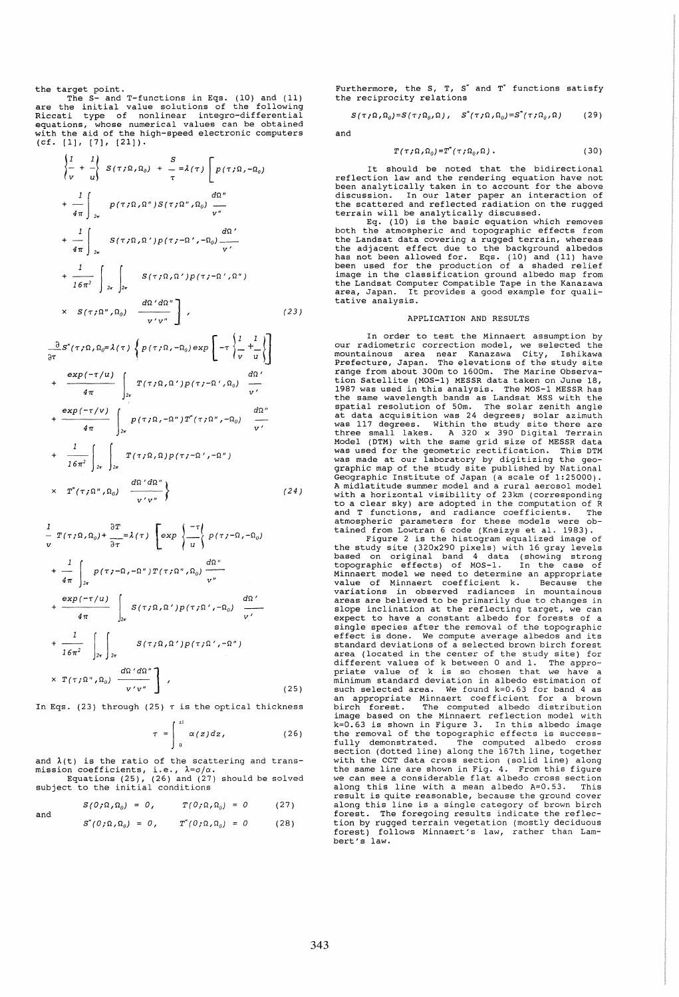the target point.

The S- and T-functions in Eqs. (10) and (11)<br>are the initial value solutions of the following<br>Riccati type of nonlinear integro-differential<br>equations, whose numerical values can be obtained<br>with the aid of the high-speed  $(cf. [1], [7], [21]).$ 

$$
\begin{aligned}\n\left\{\frac{1}{v} + \frac{1}{u}\right\} S(\tau; \Omega, \Omega_0) + \frac{S}{\tau} = \lambda(\tau) \left[ p(\tau; \Omega, -\Omega_0) \right. \\
&+ \left. \frac{1}{4\pi} \right]_{2\tau} P(\tau; \Omega, \Omega'') S(\tau; \Omega''', \Omega_0) \frac{d\Omega''}{v''} \\
&+ \frac{1}{4\pi} \int_{2\pi} S(\tau; \Omega, \Omega') p(\tau; -\Omega', -\Omega_0) \frac{d\Omega'}{v'} \\
&+ \frac{1}{16\pi^2} \int_{2\pi} \int_{2\pi} S(\tau; \Omega, \Omega') p(\tau; -\Omega', \Omega'') \\
&\times S(\tau; \Omega'', \Omega_0) \frac{d\Omega'd\Omega''}{v'v''}\n\end{aligned}
$$
\n(23)

$$
\frac{\partial}{\partial \tau} S^*(\tau; \Omega, \Omega_0 = \lambda(\tau)) \left\{ p(\tau; \Omega, -\Omega_0) \exp\left[ -\tau \left\{ \frac{1}{\tau} + \frac{1}{\tau} \right\} \right] \right\}
$$
  
+ 
$$
\frac{\exp(-\tau/u)}{4\pi} \int_{2\pi} T(\tau; \Omega, \Omega') p(\tau; -\Omega', \Omega_0) \frac{d\Omega'}{\nu'}
$$
  
+ 
$$
\frac{\exp(-\tau/v)}{4\pi} \int_{2\pi} P(\tau; \Omega, -\Omega'') T^*(\tau; \Omega'', -\Omega_0) \frac{d\Omega''}{\nu'}
$$
  
+ 
$$
\frac{1}{16\pi^2} \int_{2\pi} \int_{2\pi} T(\tau; \Omega, \Omega) p(\tau; -\Omega', -\Omega'')
$$
  
× 
$$
T^*(\tau; \Omega'', \Omega_0) \frac{d\Omega'd\Omega''}{\nu'v''}
$$
 (24)

$$
\frac{1}{v} T(\tau; \Omega, \Omega_0) + \frac{\partial T}{\partial \tau} = \lambda(\tau) \left[ exp \left\{ \frac{-\tau}{u} \right\} p(\tau; -\Omega, -\Omega_0) \right.\n+ \frac{1}{4\pi} \int_{2\pi} p(\tau; -\Omega, -\Omega'') T(\tau; \Omega'', \Omega_0) \frac{d\Omega''}{v''}\n+ \frac{exp(-\tau/u)}{4\pi} \int_{2\pi} S(\tau; \Omega, \Omega') p(\tau; \Omega', -\Omega_0) \frac{d\Omega'}{v'}\n+ \frac{1}{16\pi^2} \int_{2\pi} \int_{2\pi} S(\tau; \Omega, \Omega') p(\tau; \Omega', -\Omega'')\n\times T(\tau; \Omega'', \Omega_0) \frac{d\Omega' d\Omega''}{v'v''} \right],
$$
\n(25)

In Eqs. (23) through (25)  $\tau$  is the optical thickness

$$
\tau = \int_{0}^{z_1} \alpha(z) dz, \qquad (26)
$$

and  $\lambda(t)$  is the ratio of the scattering and trans-Equations (25), (26) and (27) should be solved subject to the initial conditions

and 
$$
S(0,\Omega,\Omega_0) = 0, \qquad T(0,\Omega,\Omega_0) = 0 \qquad (27)
$$

and 
$$
S^*(0;\Omega,\Omega_0) = 0
$$
,  $T^*(0;\Omega,\Omega_0) = 0$  (28)

Furthermore, the S, T,  $S^*$  and  $T^*$  functions satisfy the reciprocity relations

$$
S(\tau;\Omega,\Omega_0)=S(\tau;\Omega_0,\Omega), \quad S^*(\tau;\Omega,\Omega_0)=S^*(\tau;\Omega_0,\Omega) \qquad (29)
$$

and

$$
T(\tau;\Omega,\Omega_0)=T^*(\tau;\Omega_0,\Omega).
$$
 (30)

It should be noted that the bidirectional reflection law and the rendering equation have not been analytically taken in to account for the above discussion. In our later paper an interaction of the scattered and reflected radiation on the rugged

terrain will be analytically discussed. Eq. (10) is the basic equation which removes both the atmospheric and topographic effects from be Landsat data covering a rugged terrain, whereas<br>the Landsat data covering a rugged terrain, whereas<br>the adjacent effect due to the background albedos<br>been used for the production of a shaded relief<br>image in the classifi the Landsat computer Compatible Tape in the Kanazawa area, Japan. It provides a good example for qualitative analysis.

## APPLICATION AND RESULTS

In order to test the Minnaert assumption by our radiometric correction model, we selected the mountainous area near Kanazawa City, Ishikawa Prefecture, Japan. The elevations of the study site range from about 300m to 1600m. The Marine Observa-<br>tion Satellite (MOS-1) MESSR data taken on June 18, Eine Satellite (MOS-1) MESSR data taken on June 18,<br>1987 was used in this analysis. The MOS-1 MESSR has<br>the same wavelength bands as Landsat MSS with the spatial resolution of 50m. The solar zenith angle<br>at data acquisitio atmospheric parameters for these models were ob-

tained from Lowtran 6 code (Kneizys et al. 1983).<br>Figure 2 is the histogram equalized image of<br>the study site (320x290 pixels) with 16 gray levels<br>based on original band 4 data (showing strong<br>topographic effects) of MOS-1 value of Minnaert coefficient k. Because the variations in observed radiances in mountainous areas are believed to be primarily due to changes in areas are believed to be primarily due to changes in<br>slope inclination at the reflecting target, we can expect to have a constant albedo for forests of a single species after the removal of the topographic effect is done. We compute average albedos and its standard deviations of a selected brown birch forest area (located in the center of the study site) for<br>different values of k between 0 and 1. The appro-<br>priate value of k is so chosen that we have a<br>minimum standard deviation in albedo estimation of<br>such selected area. We f an appropriate Minnaert coefficient for a brown birch forest. The computed albedo distribution image based on the Minnaert reflection model with k=0.63 is shown in Figure 3. In this albedo image the removal of the topographic effects is successfully demonstrated. The computed albedo cross section (dotted line) along the 167th line, together with the CCT data cross section (solid line) along the same line are shown in Fig. 4. From this figure we can see a considerable flat albedo cross section along this line with a mean albedo A=0.53. This result is quite reasonable, because the ground cover along this line is a single category of brown birch forest. The foregoing results indicate the reflec-tion by rugged terrain vegetation (mostly deciduous forest) follows Minnaert's law, rather than Lambert's law.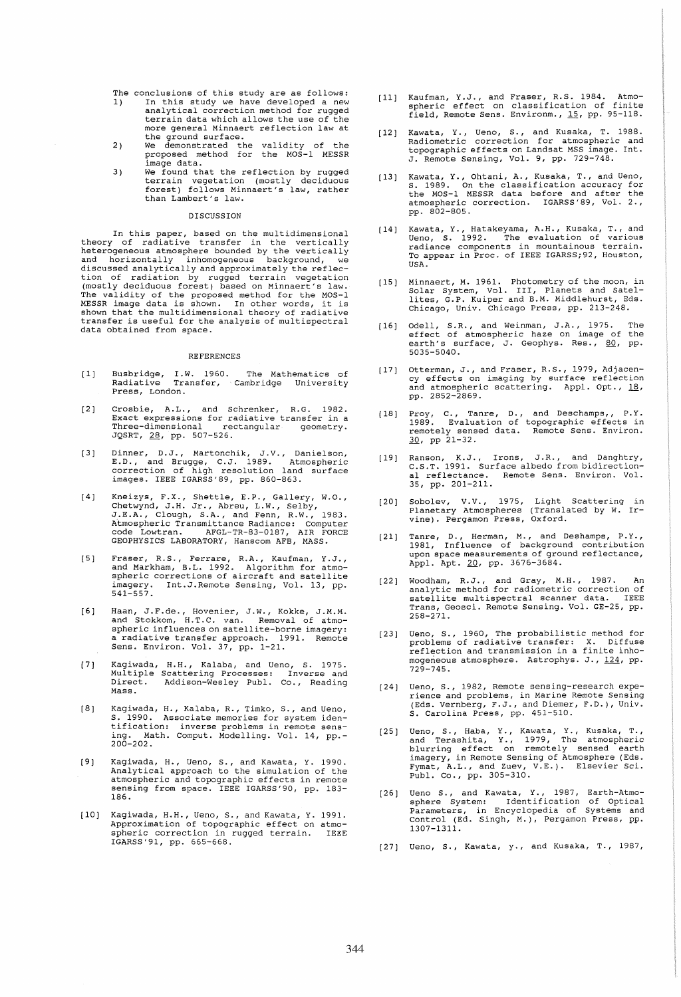- 
- The 1) conclusions of this study are as follows: In this study we have developed a new analytical correction method for rugged terrain data which allows the use of the<br>more general Minnaert reflection law at more general Minnaert reflection law at the ground surface. We demonstrated the validity of the proposed method for the MOS-l MESSR
- $2)$ image data.
- 3) We found that the reflection by rugged terrain vegetation (mostly deciduous forest) follows Minnaert's law, rather than Lambert's law.

# DISCUSSION

In this paper, based on the multidimensional<br>theory of radiative transfer in the vertically<br>heterogeneous atmosphere bounded by the vertically<br>and horizontally inhomogeneous background, we<br>discussed analytically and approx tion of radiation by rugged terrain vegetation<br>(mostly deciduous forest) based on Minnaert's law.<br>The validity of the proposed method for the MOS-1<br>MESSR image data is shown. In other words, it is<br>shown that the multidimen data obtained from space.

#### REFERENCES

- $[1]$ Busbridge, I.W. 1960. The Mathematics of<br>Radiative Transfer, Cambridge University Press, London.
- $(2)$ Crosbie, A.L., and Schrenker, R.G. 1982.<br>Exact expressions for radiative transfer in a<br>Three-dimensional rectangular geometry.<br>JQSRT, 28, pp. 507-526.
- [ 3) Dinner, D.J., Martonchik, J.V., Danielson,<br>E.D., and Brugge, C.J. 1989. Atmospheric<br>correction of high resolution land surface<br>images. IEEE IGARSS'89, pp. 860-863.
- $[4]$ Kneizys, F.X., shettle, E.P., Gallery, W.O., Chetwynd, J.H. Jr., Abreu, L.W., Selby, J.E.A., Clough, S.A., and Fenn, R.W., 1983. A"tmospheric Transmittance Radiance: Computer code Lowtran. AFGL-TR-83-0187, AIR FORCE GEOPHYSICS LABORATORY, Hanscom AFB, MASS.
- [ 5] Fraser, R.S., Ferrare, R.A., Kaufman, Y.J.,<br>and Markham, B.L. 1992. Algorithm for atmo-<br>spheric corrections of aircraft and satellite<br>imagery. Int.J.Remote Sensing, Vol. 13, pp. 541-557.
- [6J Haan, J.F.de., Hovenier, J.W., Kokke, J.M.M.<br>and Stokkom, H.T.C. van. Removal of atmo-<br>spheric influences on satellite-borne imagery:<br>a radiative transfer approach. 1991. Remote Spheric influences on satellite borne imager,<br>a radiative transfer approach. 1991. Remote<br>Sens. Environ. Vol. 37, pp. 1-21.
- $[7]$ Kagiwada, H.H., Kalaba, and Ueno, S. 1975.<br>Multiple Scattering Processes: Inverse and<br>Direct. Addison-Wesley Publ. Co., Reading Direct.<br>Mass.
- $[8]$ Kagiwada, H., Kalaba, R., Timko, S., and Ueno, S. 1990. Associate memories for system iden-tification: inverse problems in remote sens-ing. Math. Comput. Modelling. Vol. 14, pp. ing. Ma<br>200-202.
- (9) Kagiwada, H., Ueno, S., and Kawata, Y. 1990. Analytical approach to the simulation of the atmospheric and topographic effects in remote sensing from space. IEEE IGARSS'90, pp. 183- 186.
- (10) Kagiwada, H.H., Ueno, S., and Kawata, Y. 1991. Approximation of topographic effect on atmospheric correction in rugged terrain. IEEE IGARSS'91, pp. 665-668.
- (11) Kaufman, Y.J., and Fraser, R.S. 1984. Atmo-spheric effect on classification of finite field, Remote Sens. Environm., 15, pp. 95-118.
- $[12]$ Kawata, Y., Ueno, S., and Kusaka, T. 1988. Radiometric correction for atmospheric and topographic effects on Landsat MSS image. Int. J. Remote Sensing, Vol. 9, pp. 729-748.
- [13J Kawata, Y., Ohtani, A., Kusaka, T., and Ueno, S. 1989. On the classification accuracy for the MOS-1 MESSR data before and after the atmospheric correction. IGARSS'89, Vol. 2., pp. 802-805.
- $(141)$ Kawata, Y., Hatakeyama, A.H., Kusaka, T., and<br>Ueno, S. 1992. The evaluation of various<br>radiance components in mountainous terrain.<br>To appear in Proc. of IEEE IGARSS;92, Houston, USA.
- (15) Minnaert, M. 1961. Photometry of the moon, in Solar System, Vol. III, Planets and Satel-lites, G.P. Kuiper and B.M. Middlehurst, Eds. Chicago, Univ. Chicago Press, pp. 213-248.
- [16] Odell, S.R., and Weinman, J.A., 1975. The<br>effect of atmospheric haze on image of the<br>earth's surface, J. Geophys. Res., <u>80</u>, pp. 5035-5040.
- [17] Otterman, J., and Fraser, R.S., 1979, Adjacen-<br>cy effects on imaging by surface reflection<br>and atmospheric scattering. Appl. Opt., <u>18</u>, pp. 2852-2869.
- [18] Proy, C., Tanre, D., and Deschamps,, P.Y.<br>1989. Evaluation of topographic effects in<br>remotely sensed data. Remote Sens. Environ. 30, pp 21-32.
- [19 J Ranson, K.J., Irons, J.R., and Danghtry, C.S.T. 1991. Surface albedo from bidirection-al reflectance. Remote Sens. Environ. Vol. 35, pp. 201-211.
- (20) Sobolev, V.V., 1975, Light Scattering in Planetary Atmospheres (Translated by W. Ir-vine). Pergamon Press, Oxford.
- (21) Tanre, D., Herman, M., and Deshamps, P.Y., 1981, Influence of background contribution upon space measurements of ground reflectance, Appl. Apt. 20, pp. 3676-3684.
- [22] Woodham, R.J., and Gray, M.H., 1987. An analytic method for radiometric correction of satellite multispectral scanner data. IEEE Trans, Geosci. Remote Sensing. Vol. GE-25, pp. 258-271.
- [23] Ueno, S., 1960, The probabilistic method for problems of radiative transfer: X. Diffuse reflection and transmission in a finite inhomogeneous atmosphere. Astrophys. J., 124, pp. 729-745.
- (24) Ueno, S., 1982, Remote sensing-research experience and problems, in Marine Remote Sensing (Eds. Vernberg, F.J., and Diemer, F.D.), Univ. S. Carolina Press, pp. 451-510.
- [25] Ueno, S., Haba, Y., Kawata, Y., Kusaka, T.,<br>and Terashita, Y., 1979, The atmospheric<br>blurring effect on remotely sensed earth<br>imagery, in Remote Sensing of Atmosphere (Eds.<br>Fymat, A.L., and Zuev, V.E.). Elsevier Sci.<br>
- [26 J Ueno S., and Kawata, *Y.,* 1987, Earth-Atmo-sphere System: Identification of optical Parameters, in Encyclopedia of Systems and Control (Ed. Singh, M.), Pergamon Press, pp. 1307-1311.
- [27] Ueno, S., Kawata, y., and Kusaka, T., 1987,